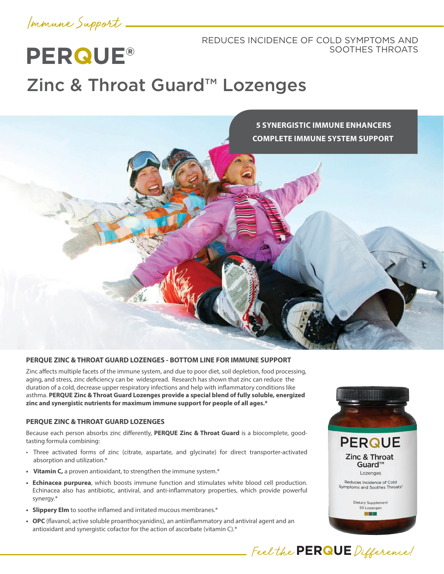Immune Support

**PERQUE®**

# REDUCES INCIDENCE OF COLD SYMPTOMS AND SOOTHES THROATS

# Zinc & Throat Guard™ Lozenges



#### **PERQUE ZINC & THROAT GUARD LOZENGES - BOTTOM LINE FOR IMMUNE SUPPORT**

Zinc affects multiple facets of the immune system, and due to poor diet, soil depletion, food processing, aging, and stress, zinc deficiency can be widespread. Research has shown that zinc can reduce the duration of a cold, decrease upper respiratory infections and help with inflammatory conditions like asthma. **PERQUE Zinc & Throat Guard Lozenges provide a special blend of fully soluble, energized zinc and synergistic nutrients for maximum immune support for people of all ages.\***

# **PERQUE ZINC & THROAT GUARD LOZENGES**

Because each person absorbs zinc differently, **PERQUE Zinc & Throat Guard** is a biocomplete, goodtasting formula combining:

- Three activated forms of zinc (citrate, aspartate, and glycinate) for direct transporter-activated absorption and utilization.\*
- **• Vitamin C,** a proven antioxidant, to strengthen the immune system.\*
- **• Echinacea purpurea**, which boosts immune function and stimulates white blood cell production. Echinacea also has antibiotic, antiviral, and anti-inflammatory properties, which provide powerful synergy.\*
- **• Slippery Elm** to soothe inflamed and irritated mucous membranes.\*
- **• OPC** (flavanol, active soluble proanthocyanidins), an antiinflammatory and antiviral agent and an antioxidant and synergistic cofactor for the action of ascorbate (vitamin C).\*



Feel the **PERQUE** Difference!